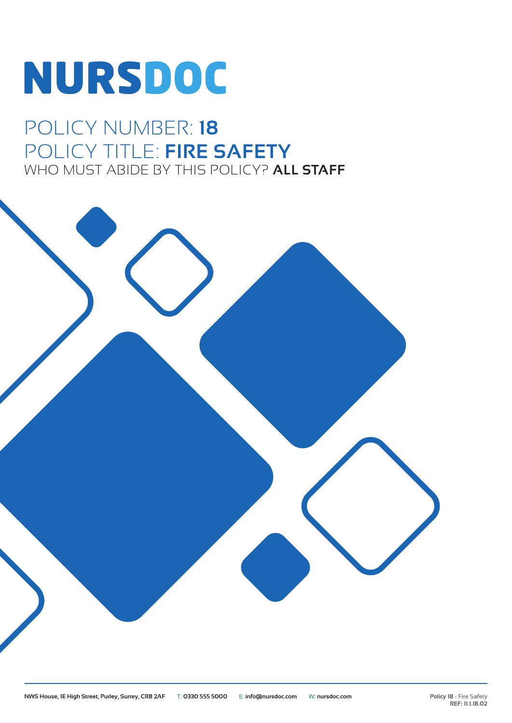# NURSDOC

### POLICY NUMBER: **18** POLICY TITLE: **FIRE SAFETY** WHO MUST ABIDE BY THIS POLICY? **ALL STAFF**